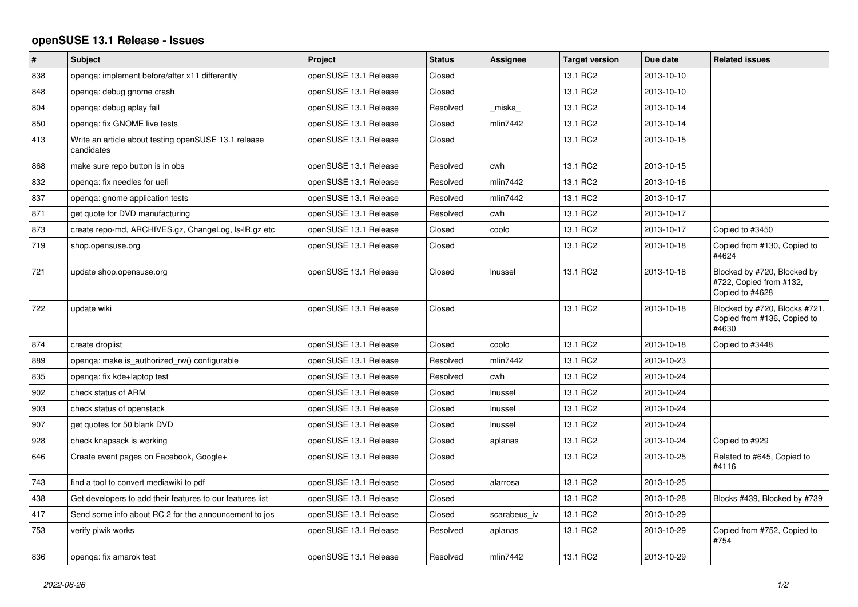## **openSUSE 13.1 Release - Issues**

| $\vert$ # | <b>Subject</b>                                                     | <b>Project</b>        | <b>Status</b> | Assignee     | <b>Target version</b> | Due date   | <b>Related issues</b>                                                     |
|-----------|--------------------------------------------------------------------|-----------------------|---------------|--------------|-----------------------|------------|---------------------------------------------------------------------------|
| 838       | openga: implement before/after x11 differently                     | openSUSE 13.1 Release | Closed        |              | 13.1 RC2              | 2013-10-10 |                                                                           |
| 848       | openga: debug gnome crash                                          | openSUSE 13.1 Release | Closed        |              | 13.1 RC2              | 2013-10-10 |                                                                           |
| 804       | openga: debug aplay fail                                           | openSUSE 13.1 Release | Resolved      | miska        | 13.1 RC2              | 2013-10-14 |                                                                           |
| 850       | openga: fix GNOME live tests                                       | openSUSE 13.1 Release | Closed        | mlin7442     | 13.1 RC2              | 2013-10-14 |                                                                           |
| 413       | Write an article about testing openSUSE 13.1 release<br>candidates | openSUSE 13.1 Release | Closed        |              | 13.1 RC2              | 2013-10-15 |                                                                           |
| 868       | make sure repo button is in obs                                    | openSUSE 13.1 Release | Resolved      | cwh          | 13.1 RC2              | 2013-10-15 |                                                                           |
| 832       | openga: fix needles for uefi                                       | openSUSE 13.1 Release | Resolved      | mlin7442     | 13.1 RC2              | 2013-10-16 |                                                                           |
| 837       | openga: gnome application tests                                    | openSUSE 13.1 Release | Resolved      | mlin7442     | 13.1 RC2              | 2013-10-17 |                                                                           |
| 871       | get quote for DVD manufacturing                                    | openSUSE 13.1 Release | Resolved      | cwh          | 13.1 RC2              | 2013-10-17 |                                                                           |
| 873       | create repo-md, ARCHIVES.gz, ChangeLog, Is-IR.gz etc               | openSUSE 13.1 Release | Closed        | coolo        | 13.1 RC2              | 2013-10-17 | Copied to #3450                                                           |
| 719       | shop.opensuse.org                                                  | openSUSE 13.1 Release | Closed        |              | 13.1 RC2              | 2013-10-18 | Copied from #130, Copied to<br>#4624                                      |
| 721       | update shop.opensuse.org                                           | openSUSE 13.1 Release | Closed        | Inussel      | 13.1 RC2              | 2013-10-18 | Blocked by #720, Blocked by<br>#722, Copied from #132,<br>Copied to #4628 |
| 722       | update wiki                                                        | openSUSE 13.1 Release | Closed        |              | 13.1 RC2              | 2013-10-18 | Blocked by #720, Blocks #721,<br>Copied from #136, Copied to<br>#4630     |
| 874       | create droplist                                                    | openSUSE 13.1 Release | Closed        | coolo        | 13.1 RC2              | 2013-10-18 | Copied to #3448                                                           |
| 889       | openga: make is authorized rw() configurable                       | openSUSE 13.1 Release | Resolved      | mlin7442     | 13.1 RC2              | 2013-10-23 |                                                                           |
| 835       | openga: fix kde+laptop test                                        | openSUSE 13.1 Release | Resolved      | cwh          | 13.1 RC2              | 2013-10-24 |                                                                           |
| 902       | check status of ARM                                                | openSUSE 13.1 Release | Closed        | Inussel      | 13.1 RC2              | 2013-10-24 |                                                                           |
| 903       | check status of openstack                                          | openSUSE 13.1 Release | Closed        | Inussel      | 13.1 RC2              | 2013-10-24 |                                                                           |
| 907       | get quotes for 50 blank DVD                                        | openSUSE 13.1 Release | Closed        | Inussel      | 13.1 RC2              | 2013-10-24 |                                                                           |
| 928       | check knapsack is working                                          | openSUSE 13.1 Release | Closed        | aplanas      | 13.1 RC2              | 2013-10-24 | Copied to #929                                                            |
| 646       | Create event pages on Facebook, Google+                            | openSUSE 13.1 Release | Closed        |              | 13.1 RC2              | 2013-10-25 | Related to #645, Copied to<br>#4116                                       |
| 743       | find a tool to convert mediawiki to pdf                            | openSUSE 13.1 Release | Closed        | alarrosa     | 13.1 RC2              | 2013-10-25 |                                                                           |
| 438       | Get developers to add their features to our features list          | openSUSE 13.1 Release | Closed        |              | 13.1 RC2              | 2013-10-28 | Blocks #439, Blocked by #739                                              |
| 417       | Send some info about RC 2 for the announcement to jos              | openSUSE 13.1 Release | Closed        | scarabeus_iv | 13.1 RC2              | 2013-10-29 |                                                                           |
| 753       | verify piwik works                                                 | openSUSE 13.1 Release | Resolved      | aplanas      | 13.1 RC2              | 2013-10-29 | Copied from #752, Copied to<br>#754                                       |
| 836       | openga: fix amarok test                                            | openSUSE 13.1 Release | Resolved      | mlin7442     | 13.1 RC2              | 2013-10-29 |                                                                           |